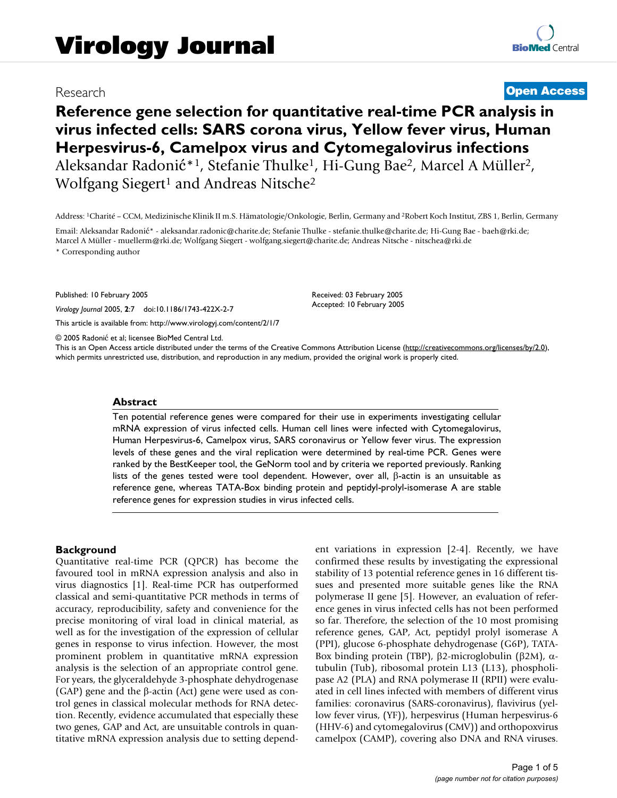# Research **[Open Access](http://www.biomedcentral.com/info/about/charter/) Reference gene selection for quantitative real-time PCR analysis in**

**virus infected cells: SARS corona virus, Yellow fever virus, Human Herpesvirus-6, Camelpox virus and Cytomegalovirus infections** Aleksandar Radonić\*1, Stefanie Thulke1, Hi-Gung Bae2, Marcel A Müller2, Wolfgang Siegert<sup>1</sup> and Andreas Nitsche<sup>2</sup>

Address: 1Charité – CCM, Medizinische Klinik II m.S. Hämatologie/Onkologie, Berlin, Germany and 2Robert Koch Institut, ZBS 1, Berlin, Germany

Email: Aleksandar Radonić\* - aleksandar.radonic@charite.de; Stefanie Thulke - stefanie.thulke@charite.de; Hi-Gung Bae - baeh@rki.de; Marcel A Müller - muellerm@rki.de; Wolfgang Siegert - wolfgang.siegert@charite.de; Andreas Nitsche - nitschea@rki.de \* Corresponding author

Published: 10 February 2005

*Virology Journal* 2005, **2**:7 doi:10.1186/1743-422X-2-7

[This article is available from: http://www.virologyj.com/content/2/1/7](http://www.virologyj.com/content/2/1/7)

© 2005 Radonić et al; licensee BioMed Central Ltd.

This is an Open Access article distributed under the terms of the Creative Commons Attribution License [\(http://creativecommons.org/licenses/by/2.0\)](http://creativecommons.org/licenses/by/2.0), which permits unrestricted use, distribution, and reproduction in any medium, provided the original work is properly cited.

Received: 03 February 2005 Accepted: 10 February 2005

#### **Abstract**

Ten potential reference genes were compared for their use in experiments investigating cellular mRNA expression of virus infected cells. Human cell lines were infected with Cytomegalovirus, Human Herpesvirus-6, Camelpox virus, SARS coronavirus or Yellow fever virus. The expression levels of these genes and the viral replication were determined by real-time PCR. Genes were ranked by the BestKeeper tool, the GeNorm tool and by criteria we reported previously. Ranking lists of the genes tested were tool dependent. However, over all, β-actin is an unsuitable as reference gene, whereas TATA-Box binding protein and peptidyl-prolyl-isomerase A are stable reference genes for expression studies in virus infected cells.

## **Background**

Quantitative real-time PCR (QPCR) has become the favoured tool in mRNA expression analysis and also in virus diagnostics [1]. Real-time PCR has outperformed classical and semi-quantitative PCR methods in terms of accuracy, reproducibility, safety and convenience for the precise monitoring of viral load in clinical material, as well as for the investigation of the expression of cellular genes in response to virus infection. However, the most prominent problem in quantitative mRNA expression analysis is the selection of an appropriate control gene. For years, the glyceraldehyde 3-phosphate dehydrogenase (GAP) gene and the β-actin (Act) gene were used as control genes in classical molecular methods for RNA detection. Recently, evidence accumulated that especially these two genes, GAP and Act, are unsuitable controls in quantitative mRNA expression analysis due to setting dependent variations in expression [2-4]. Recently, we have confirmed these results by investigating the expressional stability of 13 potential reference genes in 16 different tissues and presented more suitable genes like the RNA polymerase II gene [5]. However, an evaluation of reference genes in virus infected cells has not been performed so far. Therefore, the selection of the 10 most promising reference genes, GAP, Act, peptidyl prolyl isomerase A (PPI), glucose 6-phosphate dehydrogenase (G6P), TATA-Box binding protein (TBP), β2-microglobulin (β2M), αtubulin (Tub), ribosomal protein L13 (L13), phospholipase A2 (PLA) and RNA polymerase II (RPII) were evaluated in cell lines infected with members of different virus families: coronavirus (SARS-coronavirus), flavivirus (yellow fever virus, (YF)), herpesvirus (Human herpesvirus-6 (HHV-6) and cytomegalovirus (CMV)) and orthopoxvirus camelpox (CAMP), covering also DNA and RNA viruses.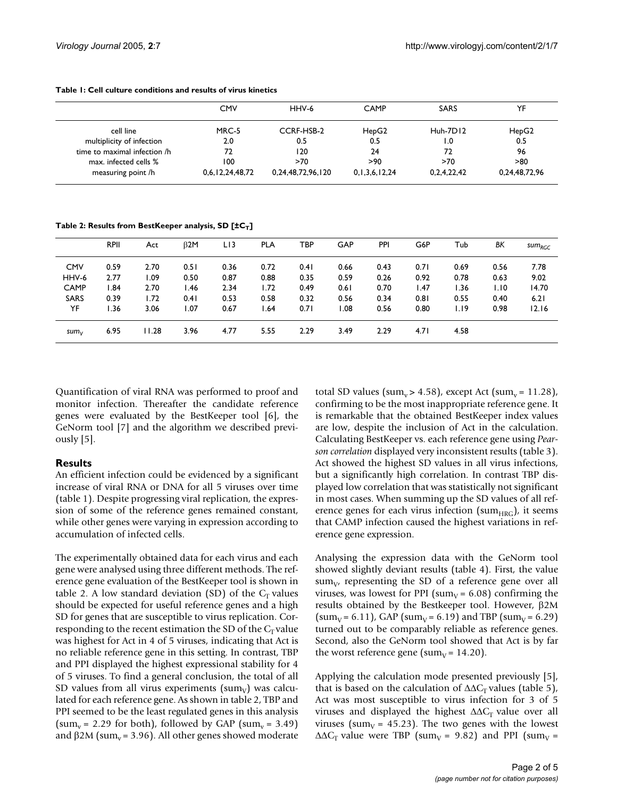|                              | <b>CMV</b>      | HHV-6             | <b>CAMP</b>        | <b>SARS</b>      | YF            |
|------------------------------|-----------------|-------------------|--------------------|------------------|---------------|
| cell line                    | MRC-5           | CCRF-HSB-2        | HepG2              | Huh-7D12         | HepG2         |
| multiplicity of infection    | 2.0             | 0.5               | 0.5                | $\overline{1.0}$ | 0.5           |
| time to maximal infection /h | 72              | 120               | 24                 | 72               | 96            |
| max. infected cells %        | 100             | >70               | >90                | >70              | > 80          |
| measuring point /h           | 0,6,12,24,48,72 | 0,24,48,72,96,120 | 0, 1, 3, 6, 12, 24 | 0,2,4,22,42      | 0,24,48,72,96 |

#### **Table 1: Cell culture conditions and results of virus kinetics**

Table 2: Results from BestKeeper analysis, SD [±C<sub>T</sub>]

|                  | <b>RPII</b> | Act   | $\beta$ 2M | LI3  | <b>PLA</b> | TBP  | <b>GAP</b> | PPI  | G6P  | Tub  | ΒK   | $sum_{RGC}$ |
|------------------|-------------|-------|------------|------|------------|------|------------|------|------|------|------|-------------|
| <b>CMV</b>       | 0.59        | 2.70  | 0.51       | 0.36 | 0.72       | 0.41 | 0.66       | 0.43 | 0.71 | 0.69 | 0.56 | 7.78        |
| HHV-6            | 2.77        | l.09  | 0.50       | 0.87 | 0.88       | 0.35 | 0.59       | 0.26 | 0.92 | 0.78 | 0.63 | 9.02        |
| <b>CAMP</b>      | 1.84        | 2.70  | l.46       | 2.34 | 1.72       | 0.49 | 0.61       | 0.70 | 1.47 | I.36 | I.I0 | 14.70       |
| <b>SARS</b>      | 0.39        | 1.72  | 0.41       | 0.53 | 0.58       | 0.32 | 0.56       | 0.34 | 0.81 | 0.55 | 0.40 | 6.21        |
| YF               | l.36        | 3.06  | 1.07       | 0.67 | 1.64       | 0.71 | 80.1       | 0.56 | 0.80 | I.I9 | 0.98 | 12.16       |
| sum <sub>V</sub> | 6.95        | 11.28 | 3.96       | 4.77 | 5.55       | 2.29 | 3.49       | 2.29 | 4.71 | 4.58 |      |             |

Quantification of viral RNA was performed to proof and monitor infection. Thereafter the candidate reference genes were evaluated by the BestKeeper tool [6], the GeNorm tool [7] and the algorithm we described previously [5].

#### **Results**

An efficient infection could be evidenced by a significant increase of viral RNA or DNA for all 5 viruses over time (table 1). Despite progressing viral replication, the expression of some of the reference genes remained constant, while other genes were varying in expression according to accumulation of infected cells.

The experimentally obtained data for each virus and each gene were analysed using three different methods. The reference gene evaluation of the BestKeeper tool is shown in table 2. A low standard deviation (SD) of the  $C_T$  values should be expected for useful reference genes and a high SD for genes that are susceptible to virus replication. Corresponding to the recent estimation the SD of the  $C_T$  value was highest for Act in 4 of 5 viruses, indicating that Act is no reliable reference gene in this setting. In contrast, TBP and PPI displayed the highest expressional stability for 4 of 5 viruses. To find a general conclusion, the total of all SD values from all virus experiments (sum<sub>v</sub>) was calculated for each reference gene. As shown in table 2, TBP and PPI seemed to be the least regulated genes in this analysis (sum<sub>v</sub> = 2.29 for both), followed by GAP (sum<sub>v</sub> = 3.49) and β2M (sum<sub>v</sub> = 3.96). All other genes showed moderate

total SD values (sum<sub>v</sub> > 4.58), except Act (sum<sub>v</sub> = 11.28), confirming to be the most inappropriate reference gene. It is remarkable that the obtained BestKeeper index values are low, despite the inclusion of Act in the calculation. Calculating BestKeeper vs. each reference gene using *Pearson correlation* displayed very inconsistent results (table [3\)](#page-2-0). Act showed the highest SD values in all virus infections, but a significantly high correlation. In contrast TBP displayed low correlation that was statistically not significant in most cases. When summing up the SD values of all reference genes for each virus infection (sum $_{\text{HRG}}$ ), it seems that CAMP infection caused the highest variations in reference gene expression.

Analysing the expression data with the GeNorm tool showed slightly deviant results (table [4](#page-2-1)). First, the value  $sum_{V}$ , representing the SD of a reference gene over all viruses, was lowest for PPI (sum<sub>V</sub> = 6.08) confirming the results obtained by the Bestkeeper tool. However, β2M (sum<sub>V</sub> = 6.11), GAP (sum<sub>V</sub> = 6.19) and TBP (sum<sub>V</sub> = 6.29) turned out to be comparably reliable as reference genes. Second, also the GeNorm tool showed that Act is by far the worst reference gene (sum<sub>V</sub> = 14.20).

Applying the calculation mode presented previously [5], that is based on the calculation of  $\Delta\Delta C_{\rm r}$  values (table 5), Act was most susceptible to virus infection for 3 of 5 viruses and displayed the highest  $\Delta\Delta C_T$  value over all viruses (sum<sub>V</sub> = 45.23). The two genes with the lowest  $\Delta\Delta C_T$  value were TBP (sum<sub>V</sub> = 9.82) and PPI (sum<sub>V</sub> =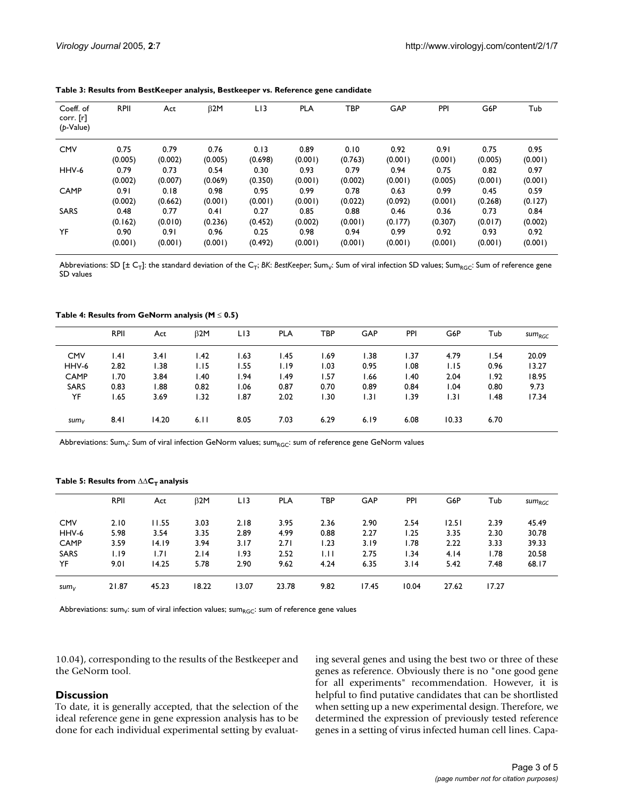| Coeff. of<br>corr. [r] | <b>RPII</b> | Act     | $\beta$ 2M | LI3     | <b>PLA</b> | TBP     | GAP     | PPI     | G6P     | Tub     |
|------------------------|-------------|---------|------------|---------|------------|---------|---------|---------|---------|---------|
| $(p$ -Value)           |             |         |            |         |            |         |         |         |         |         |
| <b>CMV</b>             | 0.75        | 0.79    | 0.76       | 0.13    | 0.89       | 0.10    | 0.92    | 0.91    | 0.75    | 0.95    |
|                        | (0.005)     | (0.002) | (0.005)    | (0.698) | (0.001)    | (0.763) | (0.001) | (0.001) | (0.005) | (0.001) |
| HHV-6                  | 0.79        | 0.73    | 0.54       | 0.30    | 0.93       | 0.79    | 0.94    | 0.75    | 0.82    | 0.97    |
|                        | (0.002)     | (0.007) | (0.069)    | (0.350) | (0.001)    | (0.002) | (0.001) | (0.005) | (0.001) | (0.001) |
| CAMP                   | 0.91        | 0.18    | 0.98       | 0.95    | 0.99       | 0.78    | 0.63    | 0.99    | 0.45    | 0.59    |
|                        | (0.002)     | (0.662) | (0.001)    | (0.001) | (0.001)    | (0.022) | (0.092) | (0.001) | (0.268) | (0.127) |
| <b>SARS</b>            | 0.48        | 0.77    | 0.41       | 0.27    | 0.85       | 0.88    | 0.46    | 0.36    | 0.73    | 0.84    |
|                        | (0.162)     | (0.010) | (0.236)    | (0.452) | (0.002)    | (0.001) | (0.177) | (0.307) | (0.017) | (0.002) |
| YF                     | 0.90        | 0.91    | 0.96       | 0.25    | 0.98       | 0.94    | 0.99    | 0.92    | 0.93    | 0.92    |
|                        | (0.001)     | (0.001) | (0.001)    | (0.492) | (0.001)    | (0.001) | (0.001) | (0.001) | (0.001) | (0.001) |

<span id="page-2-0"></span>**Table 3: Results from BestKeeper analysis, Bestkeeper vs. Reference gene candidate**

Abbreviations: SD [± C<sub>T</sub>]: the standard deviation of the C<sub>T</sub>; *BK*: *BestKeeper*; Sum of viral infection SD values; Sum<sub>RGC</sub>: Sum of reference gene SD values

<span id="page-2-1"></span>**Table 4: Results from GeNorm analysis (M** ≤ **0.5)**

|                  | <b>RPII</b> | Act   | $\beta$ 2M | LI3  | <b>PLA</b> | TBP  | GAP   | PPI  | G6P   | Tub  | $sum_{RGC}$ |
|------------------|-------------|-------|------------|------|------------|------|-------|------|-------|------|-------------|
| <b>CMV</b>       | .4          | 3.41  | 1.42       | 1.63 | l.45       | 1.69 | 1.38  | 1.37 | 4.79  | l.54 | 20.09       |
| HHV-6            | 2.82        | 1.38  | 1.15       | 1.55 | I.I9       | 1.03 | 0.95  | 0.08 | 1.15  | 0.96 | 13.27       |
| <b>CAMP</b>      | l.70        | 3.84  | l.40       | l.94 | l.49       | 1.57 | 66. ا | I.40 | 2.04  | 1.92 | 18.95       |
| <b>SARS</b>      | 0.83        | 1.88  | 0.82       | 1.06 | 0.87       | 0.70 | 0.89  | 0.84 | 1.04  | 0.80 | 9.73        |
| YF               | 1.65        | 3.69  | 1.32       | 1.87 | 2.02       | 1.30 | 1.31  | 1.39 | 1.31  | l.48 | 17.34       |
| sum <sub>V</sub> | 8.41        | 14.20 | 6.11       | 8.05 | 7.03       | 6.29 | 6.19  | 6.08 | 10.33 | 6.70 |             |

Abbreviations: Sum<sub>v</sub>: Sum of viral infection GeNorm values; sum<sub>RGC</sub>: sum of reference gene GeNorm values

Table 5: Results from ∆∆C<sub>T</sub> analysis

|                  | <b>RPII</b> | Act   | B2M   | LI3   | <b>PLA</b> | TBP  | GAP   | PPI   | G6P   | Tub   | $sum_{RGC}$ |
|------------------|-------------|-------|-------|-------|------------|------|-------|-------|-------|-------|-------------|
| <b>CMV</b>       | 2.10        | 11.55 | 3.03  | 2.18  | 3.95       | 2.36 | 2.90  | 2.54  | 12.51 | 2.39  | 45.49       |
| HHV-6            | 5.98        | 3.54  | 3.35  | 2.89  | 4.99       | 0.88 | 2.27  | 1.25  | 3.35  | 2.30  | 30.78       |
| CAMP             | 3.59        | 14.19 | 3.94  | 3.17  | 2.71       | 1.23 | 3.19  | l.78  | 2.22  | 3.33  | 39.33       |
| <b>SARS</b>      | 1.19        | 1.71  | 2.14  | 1.93  | 2.52       | LH.  | 2.75  | 1.34  | 4.14  | l.78  | 20.58       |
| YF               | 9.01        | 14.25 | 5.78  | 2.90  | 9.62       | 4.24 | 6.35  | 3.14  | 5.42  | 7.48  | 68.17       |
| sum <sub>V</sub> | 21.87       | 45.23 | 18.22 | 13.07 | 23.78      | 9.82 | 17.45 | 10.04 | 27.62 | 17.27 |             |

Abbreviations: sum<sub>V</sub>: sum of viral infection values; sum<sub>RGC</sub>: sum of reference gene values

10.04), corresponding to the results of the Bestkeeper and the GeNorm tool.

#### **Discussion**

To date, it is generally accepted, that the selection of the ideal reference gene in gene expression analysis has to be done for each individual experimental setting by evaluating several genes and using the best two or three of these genes as reference. Obviously there is no "one good gene for all experiments" recommendation. However, it is helpful to find putative candidates that can be shortlisted when setting up a new experimental design. Therefore, we determined the expression of previously tested reference genes in a setting of virus infected human cell lines. Capa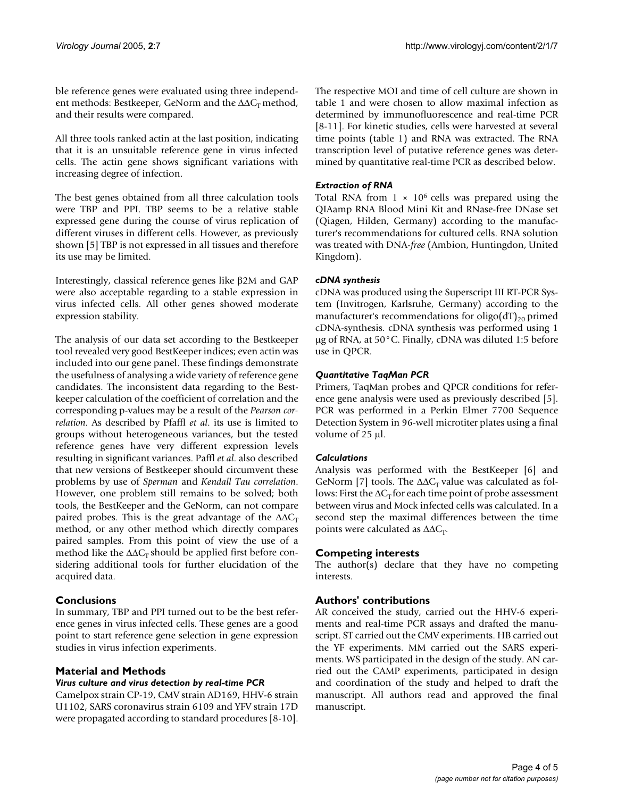ble reference genes were evaluated using three independent methods: Bestkeeper, GeNorm and the ∆∆C<sub>T</sub> method, and their results were compared.

All three tools ranked actin at the last position, indicating that it is an unsuitable reference gene in virus infected cells. The actin gene shows significant variations with increasing degree of infection.

The best genes obtained from all three calculation tools were TBP and PPI. TBP seems to be a relative stable expressed gene during the course of virus replication of different viruses in different cells. However, as previously shown [5] TBP is not expressed in all tissues and therefore its use may be limited.

Interestingly, classical reference genes like β2M and GAP were also acceptable regarding to a stable expression in virus infected cells. All other genes showed moderate expression stability.

The analysis of our data set according to the Bestkeeper tool revealed very good BestKeeper indices; even actin was included into our gene panel. These findings demonstrate the usefulness of analysing a wide variety of reference gene candidates. The inconsistent data regarding to the Bestkeeper calculation of the coefficient of correlation and the corresponding p-values may be a result of the *Pearson correlation*. As described by Pfaffl *et al*. its use is limited to groups without heterogeneous variances, but the tested reference genes have very different expression levels resulting in significant variances. Paffl *et al*. also described that new versions of Bestkeeper should circumvent these problems by use of *Sperman* and *Kendall Tau correlation*. However, one problem still remains to be solved; both tools, the BestKeeper and the GeNorm, can not compare paired probes. This is the great advantage of the  $\Delta\Delta C_T$ method, or any other method which directly compares paired samples. From this point of view the use of a method like the  $\Delta\Delta C_T$  should be applied first before considering additional tools for further elucidation of the acquired data.

#### **Conclusions**

In summary, TBP and PPI turned out to be the best reference genes in virus infected cells. These genes are a good point to start reference gene selection in gene expression studies in virus infection experiments.

#### **Material and Methods**

#### *Virus culture and virus detection by real-time PCR*

Camelpox strain CP-19, CMV strain AD169, HHV-6 strain U1102, SARS coronavirus strain 6109 and YFV strain 17D were propagated according to standard procedures [8-10]. The respective MOI and time of cell culture are shown in table 1 and were chosen to allow maximal infection as determined by immunofluorescence and real-time PCR [8-11]. For kinetic studies, cells were harvested at several time points (table 1) and RNA was extracted. The RNA transcription level of putative reference genes was determined by quantitative real-time PCR as described below.

### *Extraction of RNA*

Total RNA from  $1 \times 10^6$  cells was prepared using the QIAamp RNA Blood Mini Kit and RNase-free DNase set (Qiagen, Hilden, Germany) according to the manufacturer's recommendations for cultured cells. RNA solution was treated with DNA-*free* (Ambion, Huntingdon, United Kingdom).

#### *cDNA synthesis*

cDNA was produced using the Superscript III RT-PCR System (Invitrogen, Karlsruhe, Germany) according to the manufacturer's recommendations for oligo( $dT$ )<sub>20</sub> primed cDNA-synthesis. cDNA synthesis was performed using 1 µg of RNA, at 50°C. Finally, cDNA was diluted 1:5 before use in QPCR.

#### *Quantitative TaqMan PCR*

Primers, TaqMan probes and QPCR conditions for reference gene analysis were used as previously described [5]. PCR was performed in a Perkin Elmer 7700 Sequence Detection System in 96-well microtiter plates using a final volume of 25 µl.

#### *Calculations*

Analysis was performed with the BestKeeper [6] and GeNorm [7] tools. The  $\Delta\Delta C_T$  value was calculated as follows: First the  $\Delta C_T$  for each time point of probe assessment between virus and Mock infected cells was calculated. In a second step the maximal differences between the time points were calculated as  $\Delta \Delta C_T$ .

#### **Competing interests**

The author(s) declare that they have no competing interests.

#### **Authors' contributions**

AR conceived the study, carried out the HHV-6 experiments and real-time PCR assays and drafted the manuscript. ST carried out the CMV experiments. HB carried out the YF experiments. MM carried out the SARS experiments. WS participated in the design of the study. AN carried out the CAMP experiments, participated in design and coordination of the study and helped to draft the manuscript. All authors read and approved the final manuscript.